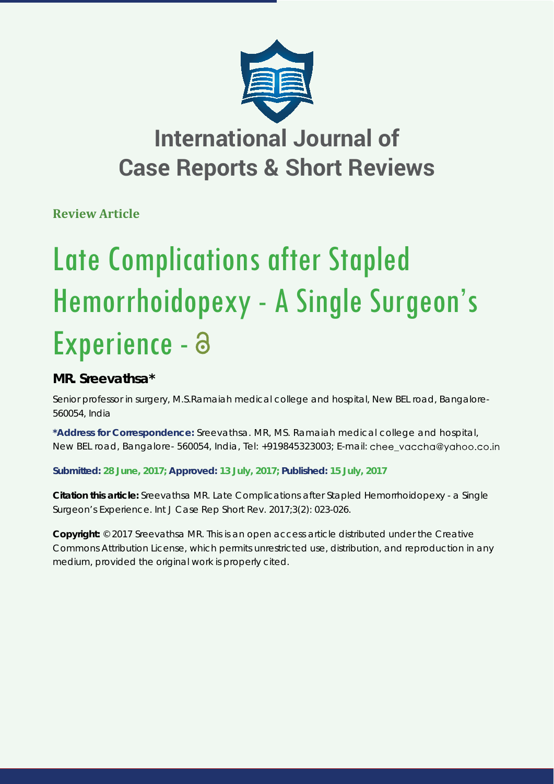

## **International Journal of Case Reports & Short Reviews**

**Review Article**

# Late Complications after Stapled Hemorrhoidopexy - A Single Surgeon's Experience - a

### **MR. Sreevathsa\***

*Senior professor in surgery, M.S.Ramaiah medical college and hospital, New BEL road, Bangalore-560054, India*

**\*Address for Correspondence:** Sreevathsa. MR, MS. Ramaiah medical college and hospital, New BEL road, Bangalore- 560054, India, Tel: +919845323003; E-mail: chee\_vaccha@yahoo.co.in

**Submitted: 28 June, 2017; Approved: 13 July, 2017; Published: 15 July, 2017**

**Citation this article:** Sreevathsa MR. Late Complications after Stapled Hemorrhoidopexy - a Single Surgeon's Experience. Int J Case Rep Short Rev. 2017;3(2): 023-026.

**Copyright:** © 2017 Sreevathsa MR. This is an open access article distributed under the Creative Commons Attribution License, which permits unrestricted use, distribution, and reproduction in any medium, provided the original work is properly cited.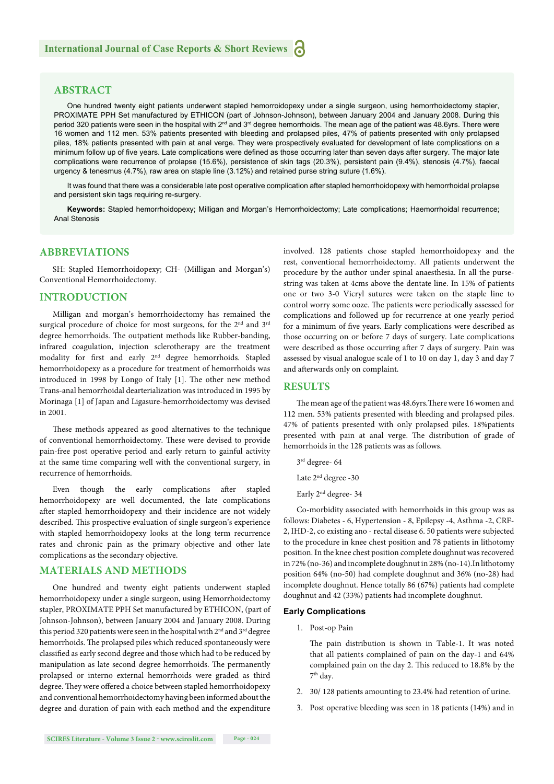#### **ABSTRACT**

One hundred twenty eight patients underwent stapled hemorroidopexy under a single surgeon, using hemorrhoidectomy stapler, PROXIMATE PPH Set manufactured by ETHICON (part of Johnson-Johnson), between January 2004 and January 2008. During this period 320 patients were seen in the hospital with 2<sup>nd</sup> and 3<sup>rd</sup> degree hemorrhoids. The mean age of the patient was 48.6yrs. There were 16 women and 112 men. 53% patients presented with bleeding and prolapsed piles, 47% of patients presented with only prolapsed piles, 18% patients presented with pain at anal verge. They were prospectively evaluated for development of late complications on a minimum follow up of five years. Late complications were defined as those occurring later than seven days after surgery. The major late complications were recurrence of prolapse (15.6%), persistence of skin tags (20.3%), persistent pain (9.4%), stenosis (4.7%), faecal urgency & tenesmus (4.7%), raw area on staple line (3.12%) and retained purse string suture (1.6%).

It was found that there was a considerable late post operative complication after stapled hemorrhoidopexy with hemorrhoidal prolapse and persistent skin tags requiring re-surgery.

**Keywords:** Stapled hemorrhoidopexy; Milligan and Morgan's Hemorrhoidectomy; Late complications; Haemorrhoidal recurrence; Anal Stenosis

#### **ABBREVIATIONS**

SH: Stapled Hemorrhoidopexy; CH- (Milligan and Morgan's) Conventional Hemorrhoidectomy.

#### **INTRODUCTION**

Milligan and morgan's hemorrhoidectomy has remained the surgical procedure of choice for most surgeons, for the 2<sup>nd</sup> and 3<sup>rd</sup> degree hemorrhoids. The outpatient methods like Rubber-banding, infrared coagulation, injection sclerotherapy are the treatment modality for first and early 2<sup>nd</sup> degree hemorrhoids. Stapled hemorrhoidopexy as a procedure for treatment of hemorrhoids was introduced in 1998 by Longo of Italy [1]. The other new method Trans-anal hemorrhoidal dearterialization was introduced in 1995 by Morinaga [1] of Japan and Ligasure-hemorrhoidectomy was devised in 2001.

These methods appeared as good alternatives to the technique of conventional hemorrhoidectomy. These were devised to provide pain-free post operative period and early return to gainful activity at the same time comparing well with the conventional surgery, in recurrence of hemorrhoids.

Even though the early complications after stapled hemorrhoidopexy are well documented, the late complications after stapled hemorrhoidopexy and their incidence are not widely described. This prospective evaluation of single surgeon's experience with stapled hemorrhoidopexy looks at the long term recurrence rates and chronic pain as the primary objective and other late complications as the secondary objective.

#### **MATERIALS AND METHODS**

One hundred and twenty eight patients underwent stapled hemorrhoidopexy under a single surgeon, using Hemorrhoidectomy stapler, PROXIMATE PPH Set manufactured by ETHICON, (part of Johnson-Johnson), between January 2004 and January 2008. During this period 320 patients were seen in the hospital with 2<sup>nd</sup> and 3<sup>rd</sup> degree hemorrhoids. The prolapsed piles which reduced spontaneously were classified as early second degree and those which had to be reduced by manipulation as late second degree hemorrhoids. The permanently prolapsed or interno external hemorrhoids were graded as third degree. They were offered a choice between stapled hemorrhoidopexy and conventional hemorrhoidectomy having been informed about the degree and duration of pain with each method and the expenditure

involved. 128 patients chose stapled hemorrhoidopexy and the rest, conventional hemorrhoidectomy. All patients underwent the procedure by the author under spinal anaesthesia. In all the pursestring was taken at 4cms above the dentate line. In 15% of patients one or two 3-0 Vicryl sutures were taken on the staple line to control worry some ooze. The patients were periodically assessed for complications and followed up for recurrence at one yearly period for a minimum of five years. Early complications were described as those occurring on or before 7 days of surgery. Late complications were described as those occurring after 7 days of surgery. Pain was assessed by visual analogue scale of 1 to 10 on day 1, day 3 and day 7 and afterwards only on complaint.

#### **RESULTS**

The mean age of the patient was 48.6yrs. There were 16 women and 112 men. 53% patients presented with bleeding and prolapsed piles. 47% of patients presented with only prolapsed piles. 18%patients presented with pain at anal verge. The distribution of grade of hemorrhoids in the 128 patients was as follows.

3rd degree- 64

Late 2nd degree -30

Early 2nd degree- 34

Co-morbidity associated with hemorrhoids in this group was as follows: Diabetes - 6, Hypertension - 8, Epilepsy -4, Asthma -2, CRF-2, IHD-2, co existing ano - rectal disease 6. 50 patients were subjected to the procedure in knee chest position and 78 patients in lithotomy position. In the knee chest position complete doughnut was recovered in 72% (no-36) and incomplete doughnut in 28% (no-14).In lithotomy position 64% (no-50) had complete doughnut and 36% (no-28) had incomplete doughnut. Hence totally 86 (67%) patients had complete doughnut and 42 (33%) patients had incomplete doughnut.

#### **Early Complications**

1. Post-op Pain

The pain distribution is shown in Table-1. It was noted that all patients complained of pain on the day-1 and 64% complained pain on the day 2. This reduced to 18.8% by the 7th day.

- 2. 30/ 128 patients amounting to 23.4% had retention of urine.
- 3. Post operative bleeding was seen in 18 patients (14%) and in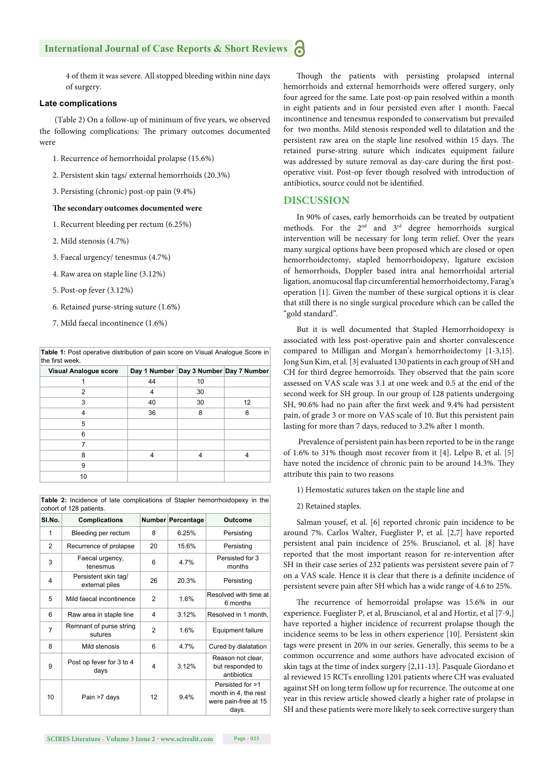#### **International Journal of Case Reports & Short Reviews** Ы

4 of them it was severe. All stopped bleeding within nine days of surgery.

#### **Late complications**

(Table 2) On a follow-up of minimum of five years, we observed the following complications: The primary outcomes documented were

- 1. Recurrence of hemorrhoidal prolapse (15.6%)
- 2. Persistent skin tags/ external hemorrhoids (20.3%)
- 3. Persisting (chronic) post-op pain (9.4%)

#### The secondary outcomes documented were

- 1. Recurrent bleeding per rectum (6.25%)
- 2. Mild stenosis (4.7%)
- 3. Faecal urgency/ tenesmus (4.7%)
- 4. Raw area on staple line (3.12%)
- 5. Post-op fever (3.12%)
- 6. Retained purse-string suture (1.6%)
- 7. Mild faecal incontinence (1.6%)

| <b>Table 1:</b> Post operative distribution of pain score on Visual Analogue Score in |  |
|---------------------------------------------------------------------------------------|--|
| the first week.                                                                       |  |

| Visual Analogue score | Day 1 Number   Day 3 Number   Day 7 Number |    |    |
|-----------------------|--------------------------------------------|----|----|
|                       | 44                                         | 10 |    |
| 2                     | 4                                          | 30 |    |
| 3                     | 40                                         | 30 | 12 |
| 4                     | 36                                         | 8  | 8  |
| 5                     |                                            |    |    |
| 6                     |                                            |    |    |
|                       |                                            |    |    |
| 8                     | 4                                          | 4  | 4  |
| 9                     |                                            |    |    |
| 10                    |                                            |    |    |

**Table 2:** Incidence of late complications of Stapler hemorrhoidopexy in the cohort of 128 patients.

| SI.No.         | <b>Complications</b>                   |                   | Number Percentage | Outcome                                                                   |
|----------------|----------------------------------------|-------------------|-------------------|---------------------------------------------------------------------------|
| 1              | Bleeding per rectum                    | 8                 | 6.25%             | Persisting                                                                |
| 2              | Recurrence of prolapse                 | 20                | 15.6%             | Persisting                                                                |
| 3              | Faecal urgency,<br>tenesmus            | 6                 | 4.7%              | Persisted for 3<br>months                                                 |
| 4              | Persistent skin tag/<br>external piles | 26                | 20.3%             | Persisting                                                                |
| 5              | Mild faecal incontinence               | $\mathcal{P}$     | 1.6%              | Resolved with time at<br>6 months                                         |
| 6              | Raw area in staple line                | 4                 | 3.12%             | Resolved in 1 month,                                                      |
| $\overline{7}$ | Remnant of purse string<br>sutures     | $\mathfrak{p}$    | 1.6%              | <b>Equipment failure</b>                                                  |
| 8              | Mild stenosis                          | 6                 | 4.7%              | Cured by dialatation                                                      |
| 9              | Post op fever for 3 to 4<br>days       | 4                 | 3.12%             | Reason not clear,<br>but responded to<br>antibiotics                      |
| 10             | Pain >7 days                           | $12 \overline{ }$ | 9.4%              | Persisted for >1<br>month in 4, the rest<br>were pain-free at 15<br>days. |

Though the patients with persisting prolapsed internal hemorrhoids and external hemorrhoids were offered surgery, only four agreed for the same. Late post-op pain resolved within a month in eight patients and in four persisted even after 1 month. Faecal incontinence and tenesmus responded to conservatism but prevailed for two months. Mild stenosis responded well to dilatation and the persistent raw area on the staple line resolved within 15 days. The retained purse-string suture which indicates equipment failure was addressed by suture removal as day-care during the first postoperative visit. Post-op fever though resolved with introduction of antibiotics, source could not be identified.

#### **DISCUSSION**

In 90% of cases, early hemorrhoids can be treated by outpatient methods. For the 2nd and 3rd degree hemorrhoids surgical intervention will be necessary for long term relief. Over the years many surgical options have been proposed which are closed or open hemorrhoidectomy, stapled hemorrhoidopexy, ligature excision of hemorrhoids, Doppler based intra anal hemorrhoidal arterial ligation, anomucosal flap circumferential hemorrhoidectomy, Farag's operation [1]. Given the number of these surgical options it is clear that still there is no single surgical procedure which can be called the "gold standard".

But it is well documented that Stapled Hemorrhoidopexy is associated with less post-operative pain and shorter convalescence compared to Milligan and Morgan's hemorrhoidectomy [1-3,15]. Jong Sun Kim, et al. [3] evaluated 130 patients in each group of SH and CH for third degree hemorroids. They observed that the pain score assessed on VAS scale was 3.1 at one week and 0.5 at the end of the second week for SH group. In our group of 128 patients undergoing SH, 90.6% had no pain after the first week and 9.4% had persistent pain, of grade 3 or more on VAS scale of 10. But this persistent pain lasting for more than 7 days, reduced to 3.2% after 1 month.

 Prevalence of persistent pain has been reported to be in the range of 1.6% to 31% though most recover from it [4]. Lelpo B, et al. [5] have noted the incidence of chronic pain to be around 14.3%. They attribute this pain to two reasons

- 1) Hemostatic sutures taken on the staple line and
- 2) Retained staples.

Salman yousef, et al. [6] reported chronic pain incidence to be around 7%. Carlos Walter, Fueglister P, et al. [2,7] have reported persistent anal pain incidence of 25%. Bruscianol, et al. [8] have reported that the most important reason for re-intervention after SH in their case series of 232 patients was persistent severe pain of 7 on a VAS scale. Hence it is clear that there is a definite incidence of persistent severe pain after SH which has a wide range of 4.6 to 25%.

The recurrence of hemorroidal prolapse was 15.6% in our experience. Fueglister P, et al, Bruscianol, et al and Hortiz, et al [7-9,] have reported a higher incidence of recurrent prolapse though the incidence seems to be less in others experience [10]. Persistent skin tags were present in 20% in our series. Generally, this seems to be a common occurrence and some authors have advocated excision of skin tags at the time of index surgery [2,11-13]. Pasquale Giordano et al reviewed 15 RCTs enrolling 1201 patients where CH was evaluated against SH on long term follow up for recurrence. The outcome at one year in this review article showed clearly a higher rate of prolapse in SH and these patients were more likely to seek corrective surgery than